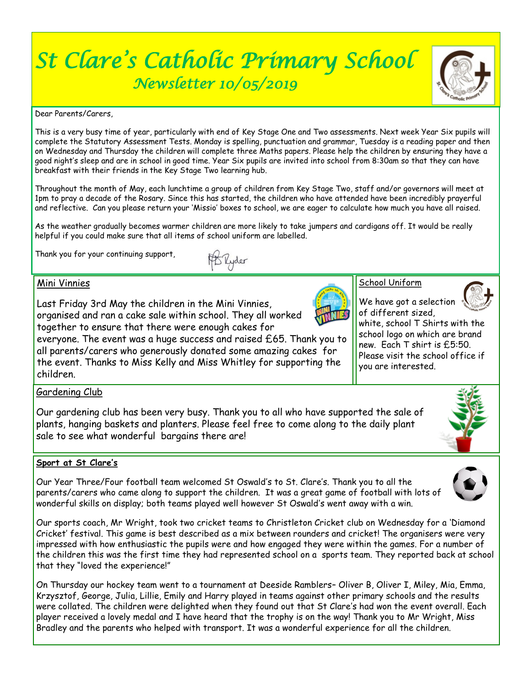# *St Clare's Catholic Primary School Newsletter 10/05/2019*



Dear Parents/Carers,

This is a very busy time of year, particularly with end of Key Stage One and Two assessments. Next week Year Six pupils will complete the Statutory Assessment Tests. Monday is spelling, punctuation and grammar, Tuesday is a reading paper and then on Wednesday and Thursday the children will complete three Maths papers. Please help the children by ensuring they have a good night's sleep and are in school in good time. Year Six pupils are invited into school from 8:30am so that they can have breakfast with their friends in the Key Stage Two learning hub.

Throughout the month of May, each lunchtime a group of children from Key Stage Two, staff and/or governors will meet at 1pm to pray a decade of the Rosary. Since this has started, the children who have attended have been incredibly prayerful and reflective. Can you please return your 'Missio' boxes to school, we are eager to calculate how much you have all raised.

As the weather gradually becomes warmer children are more likely to take jumpers and cardigans off. It would be really helpful if you could make sure that all items of school uniform are labelled.

Thank you for your continuing support,



#### Mini Vinnies

Last Friday 3rd May the children in the Mini Vinnies, organised and ran a cake sale within school. They all worked together to ensure that there were enough cakes for

everyone. The event was a huge success and raised £65. Thank you to all parents/carers who generously donated some amazing cakes for the event. Thanks to Miss Kelly and Miss Whitley for supporting the children.



We have got a selection of different sized,

white, school T Shirts with the school logo on which are brand new. Each T shirt is £5:50. Please visit the school office if you are interested.

### Gardening Club

Our gardening club has been very busy. Thank you to all who have supported the sale of plants, hanging baskets and planters. Please feel free to come along to the daily plant sale to see what wonderful bargains there are!

#### **Sport at St Clare's**

Our Year Three/Four football team welcomed St Oswald's to St. Clare's. Thank you to all the parents/carers who came along to support the children. It was a great game of football with lots of wonderful skills on display; both teams played well however St Oswald's went away with a win.





Our sports coach, Mr Wright, took two cricket teams to Christleton Cricket club on Wednesday for a 'Diamond Cricket' festival. This game is best described as a mix between rounders and cricket! The organisers were very impressed with how enthusiastic the pupils were and how engaged they were within the games. For a number of the children this was the first time they had represented school on a sports team. They reported back at school that they "loved the experience!"

On Thursday our hockey team went to a tournament at Deeside Ramblers– Oliver B, Oliver I, Miley, Mia, Emma, Krzysztof, George, Julia, Lillie, Emily and Harry played in teams against other primary schools and the results were collated. The children were delighted when they found out that St Clare's had won the event overall. Each player received a lovely medal and I have heard that the trophy is on the way! Thank you to Mr Wright, Miss Bradley and the parents who helped with transport. It was a wonderful experience for all the children.